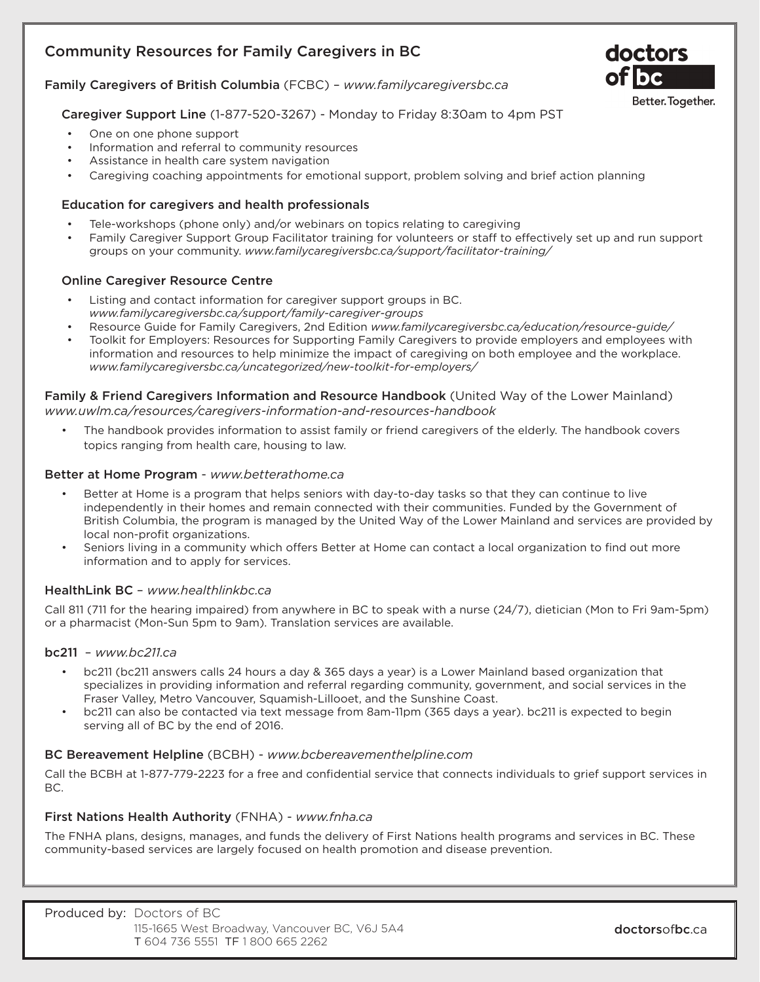# Community Resources for Family Caregivers in BC



## Caregiver Support Line (1-877-520-3267) - Monday to Friday 8:30am to 4pm PST

- One on one phone support
- Information and referral to community resources
- Assistance in health care system navigation
- Caregiving coaching appointments for emotional support, problem solving and brief action planning

#### Education for caregivers and health professionals

- Tele-workshops (phone only) and/or webinars on topics relating to caregiving
- Family Caregiver Support Group Facilitator training for volunteers or staff to effectively set up and run support groups on your community. *www.familycaregiversbc.ca/support/facilitator-training/*

## Online Caregiver Resource Centre

- Listing and contact information for caregiver support groups in BC. *www.familycaregiversbc.ca/support/family-caregiver-groups*
- Resource Guide for Family Caregivers, 2nd Edition *www.familycaregiversbc.ca/education/resource-guide/*
- Toolkit for Employers: Resources for Supporting Family Caregivers to provide employers and employees with information and resources to help minimize the impact of caregiving on both employee and the workplace. *www.familycaregiversbc.ca/uncategorized/new-toolkit-for-employers/*

#### Family & Friend Caregivers Information and Resource Handbook (United Way of the Lower Mainland) *www.uwlm.ca/resources/caregivers-information-and-resources-handbook*

• The handbook provides information to assist family or friend caregivers of the elderly. The handbook covers topics ranging from health care, housing to law.

#### Better at Home Program - *www.betterathome.ca*

- Better at Home is a program that helps seniors with day-to-day tasks so that they can continue to live independently in their homes and remain connected with their communities. Funded by the Government of British Columbia, the program is managed by the United Way of the Lower Mainland and services are provided by local non-profit organizations.
- Seniors living in a community which offers Better at Home can contact a local organization to find out more information and to apply for services.

#### HealthLink BC – *www.healthlinkbc.ca*

Call 811 (711 for the hearing impaired) from anywhere in BC to speak with a nurse (24/7), dietician (Mon to Fri 9am-5pm) or a pharmacist (Mon-Sun 5pm to 9am). Translation services are available.

#### bc211 – *www.bc211.ca*

- bc211 (bc211 answers calls 24 hours a day & 365 days a year) is a Lower Mainland based organization that specializes in providing information and referral regarding community, government, and social services in the Fraser Valley, Metro Vancouver, Squamish-Lillooet, and the Sunshine Coast.
- bc211 can also be contacted via text message from 8am-11pm (365 days a year). bc211 is expected to begin serving all of BC by the end of 2016.

#### BC Bereavement Helpline (BCBH) - *www.bcbereavementhelpline.com*

Call the BCBH at 1-877-779-2223 for a free and confidential service that connects individuals to grief support services in BC.

#### First Nations Health Authority (FNHA) - *www.fnha.ca*

The FNHA plans, designs, manages, and funds the delivery of First Nations health programs and services in BC. These community-based services are largely focused on health promotion and disease prevention.

| <b>Produced by: Doctors of BC</b>             |  |  |
|-----------------------------------------------|--|--|
| 115-1665 West Broadway, Vancouver BC, V6J 5A4 |  |  |
| T 604 736 5551 TF 1800 665 2262               |  |  |

doctors

Better. Together.

of be